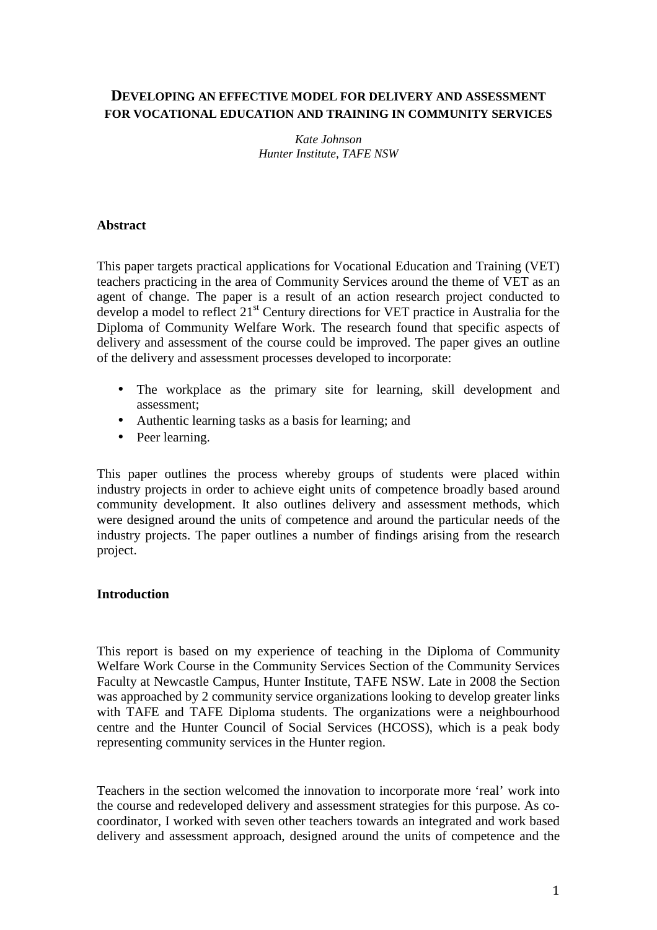# **DEVELOPING AN EFFECTIVE MODEL FOR DELIVERY AND ASSESSMENT FOR VOCATIONAL EDUCATION AND TRAINING IN COMMUNITY SERVICES**

*Kate Johnson Hunter Institute, TAFE NSW* 

### **Abstract**

This paper targets practical applications for Vocational Education and Training (VET) teachers practicing in the area of Community Services around the theme of VET as an agent of change. The paper is a result of an action research project conducted to develop a model to reflect 21<sup>st</sup> Century directions for VET practice in Australia for the Diploma of Community Welfare Work. The research found that specific aspects of delivery and assessment of the course could be improved. The paper gives an outline of the delivery and assessment processes developed to incorporate:

- The workplace as the primary site for learning, skill development and assessment;
- Authentic learning tasks as a basis for learning; and
- Peer learning.

This paper outlines the process whereby groups of students were placed within industry projects in order to achieve eight units of competence broadly based around community development. It also outlines delivery and assessment methods, which were designed around the units of competence and around the particular needs of the industry projects. The paper outlines a number of findings arising from the research project.

### **Introduction**

This report is based on my experience of teaching in the Diploma of Community Welfare Work Course in the Community Services Section of the Community Services Faculty at Newcastle Campus, Hunter Institute, TAFE NSW. Late in 2008 the Section was approached by 2 community service organizations looking to develop greater links with TAFE and TAFE Diploma students. The organizations were a neighbourhood centre and the Hunter Council of Social Services (HCOSS), which is a peak body representing community services in the Hunter region.

Teachers in the section welcomed the innovation to incorporate more 'real' work into the course and redeveloped delivery and assessment strategies for this purpose. As cocoordinator, I worked with seven other teachers towards an integrated and work based delivery and assessment approach, designed around the units of competence and the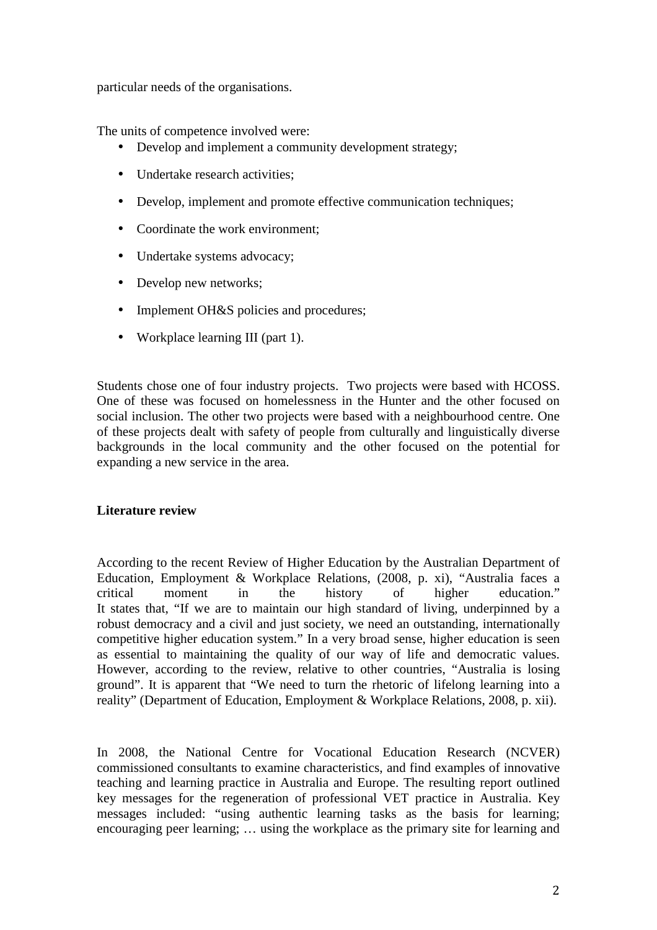particular needs of the organisations.

The units of competence involved were:

- Develop and implement a community development strategy;
- Undertake research activities;
- Develop, implement and promote effective communication techniques;
- Coordinate the work environment:
- Undertake systems advocacy;
- Develop new networks;
- Implement OH&S policies and procedures;
- Workplace learning III (part 1).

Students chose one of four industry projects. Two projects were based with HCOSS. One of these was focused on homelessness in the Hunter and the other focused on social inclusion. The other two projects were based with a neighbourhood centre. One of these projects dealt with safety of people from culturally and linguistically diverse backgrounds in the local community and the other focused on the potential for expanding a new service in the area.

## **Literature review**

According to the recent Review of Higher Education by the Australian Department of Education, Employment & Workplace Relations, (2008, p. xi), "Australia faces a critical moment in the history of higher education." It states that, "If we are to maintain our high standard of living, underpinned by a robust democracy and a civil and just society, we need an outstanding, internationally competitive higher education system." In a very broad sense, higher education is seen as essential to maintaining the quality of our way of life and democratic values. However, according to the review, relative to other countries, "Australia is losing ground". It is apparent that "We need to turn the rhetoric of lifelong learning into a reality" (Department of Education, Employment & Workplace Relations, 2008, p. xii).

In 2008, the National Centre for Vocational Education Research (NCVER) commissioned consultants to examine characteristics, and find examples of innovative teaching and learning practice in Australia and Europe. The resulting report outlined key messages for the regeneration of professional VET practice in Australia. Key messages included: "using authentic learning tasks as the basis for learning; encouraging peer learning; … using the workplace as the primary site for learning and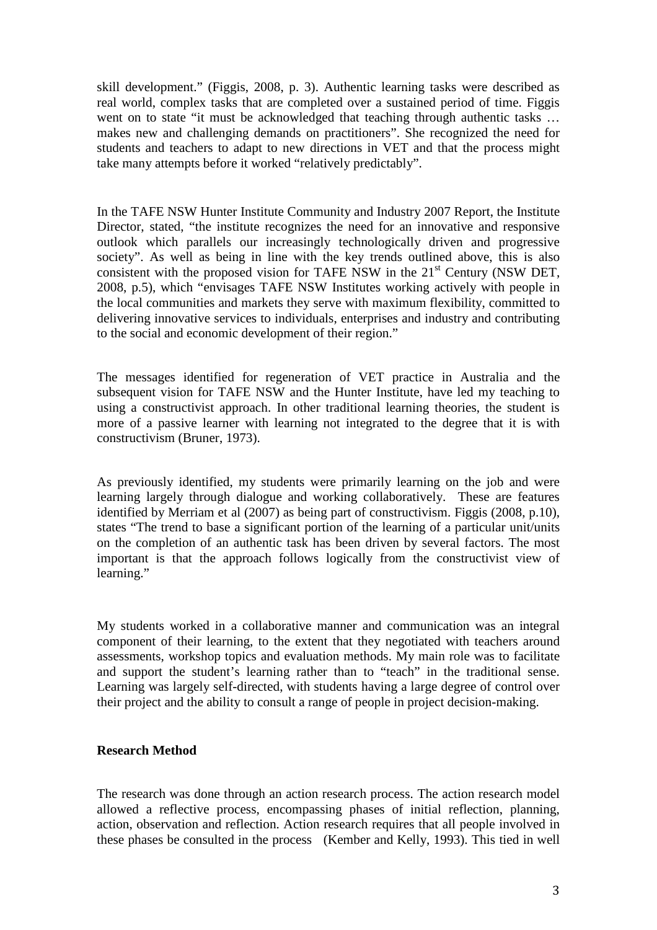skill development." (Figgis, 2008, p. 3). Authentic learning tasks were described as real world, complex tasks that are completed over a sustained period of time. Figgis went on to state "it must be acknowledged that teaching through authentic tasks ... makes new and challenging demands on practitioners". She recognized the need for students and teachers to adapt to new directions in VET and that the process might take many attempts before it worked "relatively predictably".

In the TAFE NSW Hunter Institute Community and Industry 2007 Report, the Institute Director, stated, "the institute recognizes the need for an innovative and responsive outlook which parallels our increasingly technologically driven and progressive society". As well as being in line with the key trends outlined above, this is also consistent with the proposed vision for TAFE NSW in the  $21<sup>st</sup>$  Century (NSW DET, 2008, p.5), which "envisages TAFE NSW Institutes working actively with people in the local communities and markets they serve with maximum flexibility, committed to delivering innovative services to individuals, enterprises and industry and contributing to the social and economic development of their region."

The messages identified for regeneration of VET practice in Australia and the subsequent vision for TAFE NSW and the Hunter Institute, have led my teaching to using a constructivist approach. In other traditional learning theories, the student is more of a passive learner with learning not integrated to the degree that it is with constructivism (Bruner, 1973).

As previously identified, my students were primarily learning on the job and were learning largely through dialogue and working collaboratively. These are features identified by Merriam et al (2007) as being part of constructivism. Figgis (2008, p.10), states "The trend to base a significant portion of the learning of a particular unit/units on the completion of an authentic task has been driven by several factors. The most important is that the approach follows logically from the constructivist view of learning."

My students worked in a collaborative manner and communication was an integral component of their learning, to the extent that they negotiated with teachers around assessments, workshop topics and evaluation methods. My main role was to facilitate and support the student's learning rather than to "teach" in the traditional sense. Learning was largely self-directed, with students having a large degree of control over their project and the ability to consult a range of people in project decision-making.

### **Research Method**

The research was done through an action research process. The action research model allowed a reflective process, encompassing phases of initial reflection, planning, action, observation and reflection. Action research requires that all people involved in these phases be consulted in the process (Kember and Kelly, 1993). This tied in well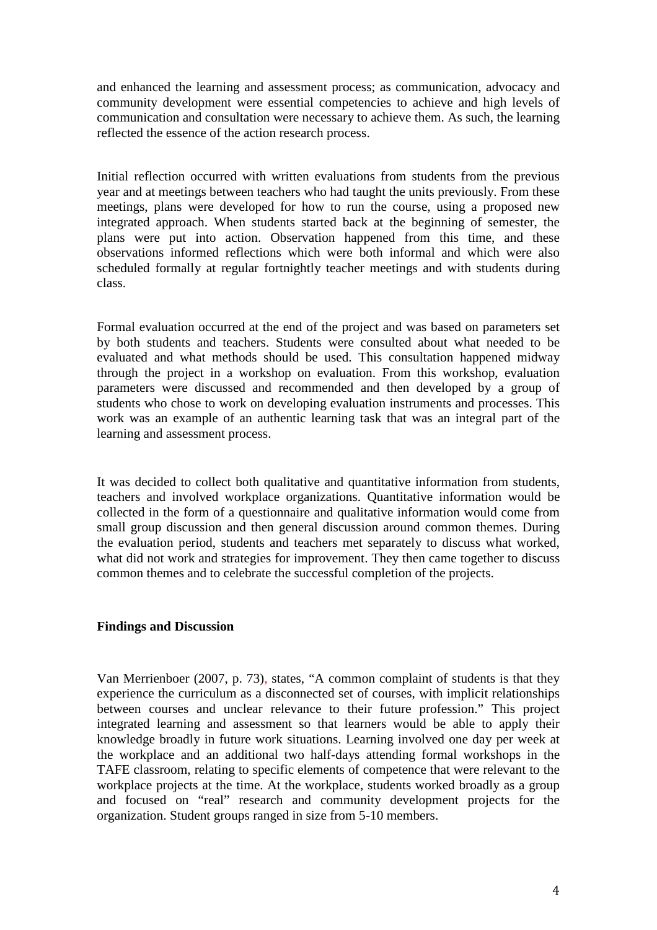and enhanced the learning and assessment process; as communication, advocacy and community development were essential competencies to achieve and high levels of communication and consultation were necessary to achieve them. As such, the learning reflected the essence of the action research process.

Initial reflection occurred with written evaluations from students from the previous year and at meetings between teachers who had taught the units previously. From these meetings, plans were developed for how to run the course, using a proposed new integrated approach. When students started back at the beginning of semester, the plans were put into action. Observation happened from this time, and these observations informed reflections which were both informal and which were also scheduled formally at regular fortnightly teacher meetings and with students during class.

Formal evaluation occurred at the end of the project and was based on parameters set by both students and teachers. Students were consulted about what needed to be evaluated and what methods should be used. This consultation happened midway through the project in a workshop on evaluation. From this workshop, evaluation parameters were discussed and recommended and then developed by a group of students who chose to work on developing evaluation instruments and processes. This work was an example of an authentic learning task that was an integral part of the learning and assessment process.

It was decided to collect both qualitative and quantitative information from students, teachers and involved workplace organizations. Quantitative information would be collected in the form of a questionnaire and qualitative information would come from small group discussion and then general discussion around common themes. During the evaluation period, students and teachers met separately to discuss what worked, what did not work and strategies for improvement. They then came together to discuss common themes and to celebrate the successful completion of the projects.

### **Findings and Discussion**

Van Merrienboer (2007, p. 73), states, "A common complaint of students is that they experience the curriculum as a disconnected set of courses, with implicit relationships between courses and unclear relevance to their future profession." This project integrated learning and assessment so that learners would be able to apply their knowledge broadly in future work situations. Learning involved one day per week at the workplace and an additional two half-days attending formal workshops in the TAFE classroom, relating to specific elements of competence that were relevant to the workplace projects at the time. At the workplace, students worked broadly as a group and focused on "real" research and community development projects for the organization. Student groups ranged in size from 5-10 members.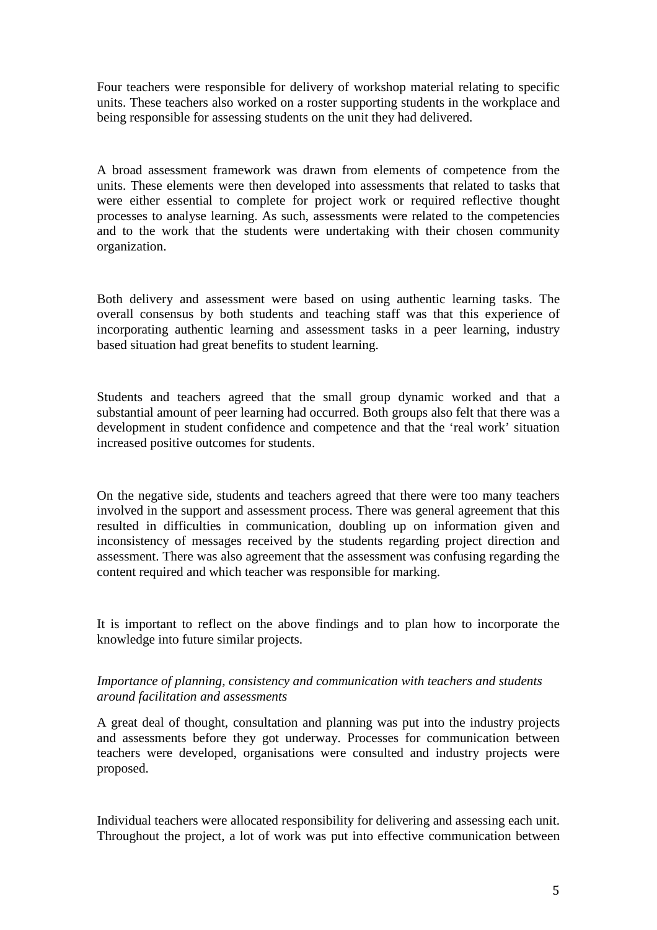Four teachers were responsible for delivery of workshop material relating to specific units. These teachers also worked on a roster supporting students in the workplace and being responsible for assessing students on the unit they had delivered.

A broad assessment framework was drawn from elements of competence from the units. These elements were then developed into assessments that related to tasks that were either essential to complete for project work or required reflective thought processes to analyse learning. As such, assessments were related to the competencies and to the work that the students were undertaking with their chosen community organization.

Both delivery and assessment were based on using authentic learning tasks. The overall consensus by both students and teaching staff was that this experience of incorporating authentic learning and assessment tasks in a peer learning, industry based situation had great benefits to student learning.

Students and teachers agreed that the small group dynamic worked and that a substantial amount of peer learning had occurred. Both groups also felt that there was a development in student confidence and competence and that the 'real work' situation increased positive outcomes for students.

On the negative side, students and teachers agreed that there were too many teachers involved in the support and assessment process. There was general agreement that this resulted in difficulties in communication, doubling up on information given and inconsistency of messages received by the students regarding project direction and assessment. There was also agreement that the assessment was confusing regarding the content required and which teacher was responsible for marking.

It is important to reflect on the above findings and to plan how to incorporate the knowledge into future similar projects.

## *Importance of planning, consistency and communication with teachers and students around facilitation and assessments*

A great deal of thought, consultation and planning was put into the industry projects and assessments before they got underway. Processes for communication between teachers were developed, organisations were consulted and industry projects were proposed.

Individual teachers were allocated responsibility for delivering and assessing each unit. Throughout the project, a lot of work was put into effective communication between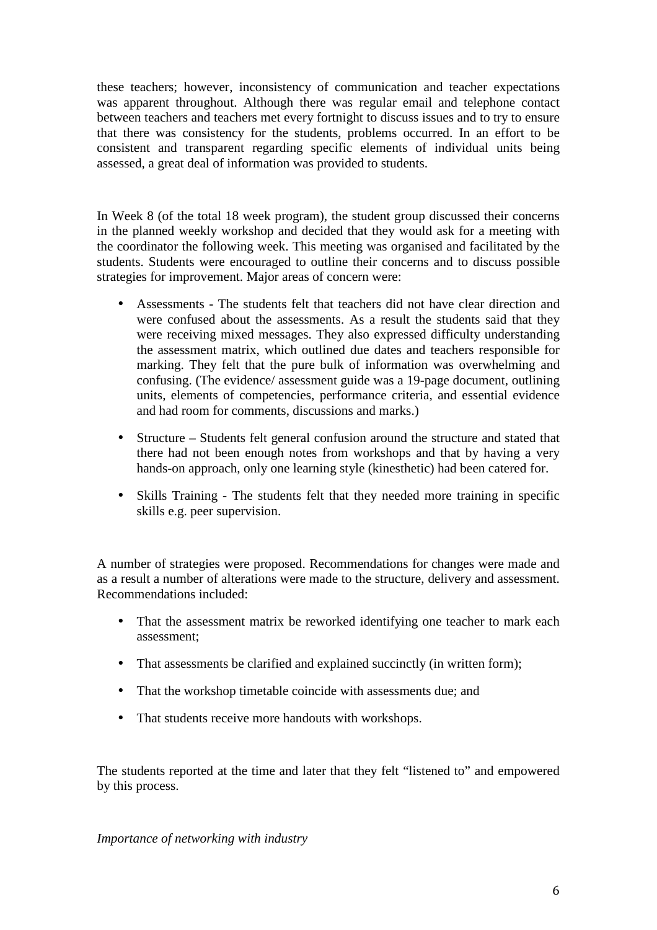these teachers; however, inconsistency of communication and teacher expectations was apparent throughout. Although there was regular email and telephone contact between teachers and teachers met every fortnight to discuss issues and to try to ensure that there was consistency for the students, problems occurred. In an effort to be consistent and transparent regarding specific elements of individual units being assessed, a great deal of information was provided to students.

In Week 8 (of the total 18 week program), the student group discussed their concerns in the planned weekly workshop and decided that they would ask for a meeting with the coordinator the following week. This meeting was organised and facilitated by the students. Students were encouraged to outline their concerns and to discuss possible strategies for improvement. Major areas of concern were:

- Assessments The students felt that teachers did not have clear direction and were confused about the assessments. As a result the students said that they were receiving mixed messages. They also expressed difficulty understanding the assessment matrix, which outlined due dates and teachers responsible for marking. They felt that the pure bulk of information was overwhelming and confusing. (The evidence/ assessment guide was a 19-page document, outlining units, elements of competencies, performance criteria, and essential evidence and had room for comments, discussions and marks.)
- Structure Students felt general confusion around the structure and stated that there had not been enough notes from workshops and that by having a very hands-on approach, only one learning style (kinesthetic) had been catered for.
- Skills Training The students felt that they needed more training in specific skills e.g. peer supervision.

A number of strategies were proposed. Recommendations for changes were made and as a result a number of alterations were made to the structure, delivery and assessment. Recommendations included:

- That the assessment matrix be reworked identifying one teacher to mark each assessment;
- That assessments be clarified and explained succinctly (in written form);
- That the workshop timetable coincide with assessments due; and
- That students receive more handouts with workshops.

The students reported at the time and later that they felt "listened to" and empowered by this process.

*Importance of networking with industry*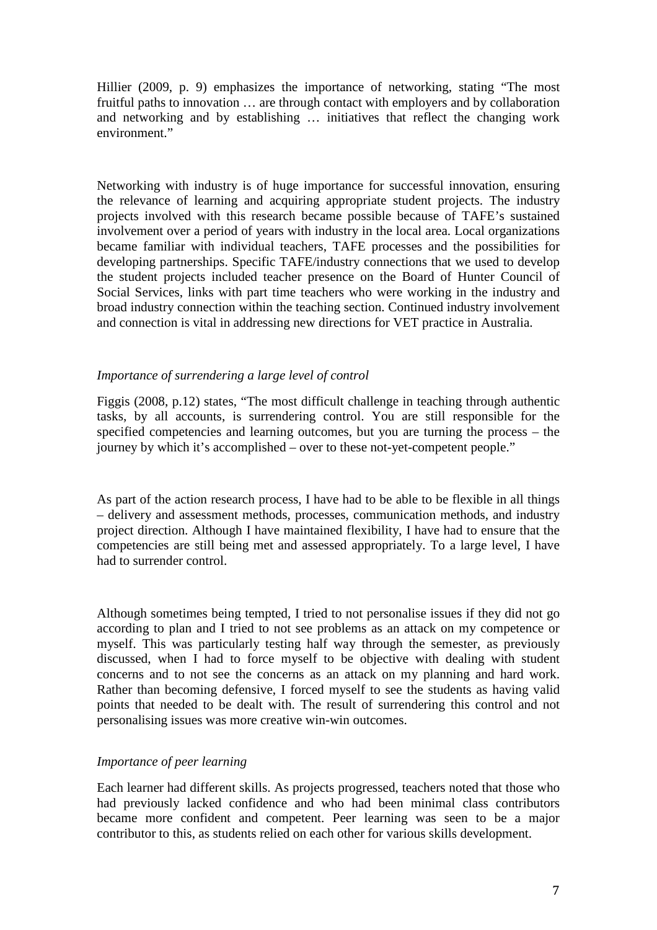Hillier (2009, p. 9) emphasizes the importance of networking, stating "The most fruitful paths to innovation … are through contact with employers and by collaboration and networking and by establishing … initiatives that reflect the changing work environment."

Networking with industry is of huge importance for successful innovation, ensuring the relevance of learning and acquiring appropriate student projects. The industry projects involved with this research became possible because of TAFE's sustained involvement over a period of years with industry in the local area. Local organizations became familiar with individual teachers, TAFE processes and the possibilities for developing partnerships. Specific TAFE/industry connections that we used to develop the student projects included teacher presence on the Board of Hunter Council of Social Services, links with part time teachers who were working in the industry and broad industry connection within the teaching section. Continued industry involvement and connection is vital in addressing new directions for VET practice in Australia.

### *Importance of surrendering a large level of control*

Figgis (2008, p.12) states, "The most difficult challenge in teaching through authentic tasks, by all accounts, is surrendering control. You are still responsible for the specified competencies and learning outcomes, but you are turning the process – the journey by which it's accomplished – over to these not-yet-competent people."

As part of the action research process, I have had to be able to be flexible in all things – delivery and assessment methods, processes, communication methods, and industry project direction. Although I have maintained flexibility, I have had to ensure that the competencies are still being met and assessed appropriately. To a large level, I have had to surrender control.

Although sometimes being tempted, I tried to not personalise issues if they did not go according to plan and I tried to not see problems as an attack on my competence or myself. This was particularly testing half way through the semester, as previously discussed, when I had to force myself to be objective with dealing with student concerns and to not see the concerns as an attack on my planning and hard work. Rather than becoming defensive, I forced myself to see the students as having valid points that needed to be dealt with. The result of surrendering this control and not personalising issues was more creative win-win outcomes.

## *Importance of peer learning*

Each learner had different skills. As projects progressed, teachers noted that those who had previously lacked confidence and who had been minimal class contributors became more confident and competent. Peer learning was seen to be a major contributor to this, as students relied on each other for various skills development.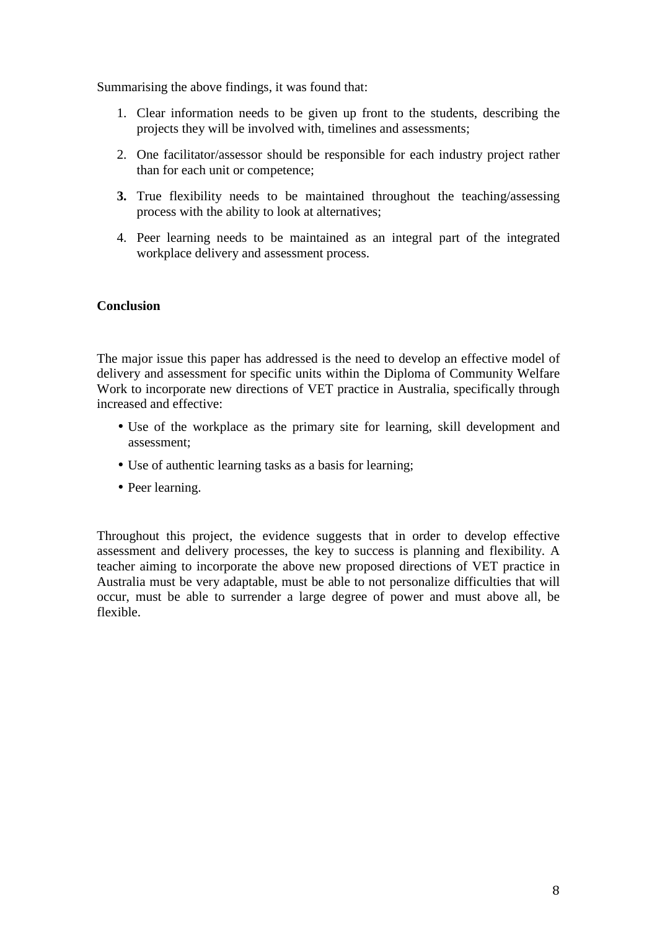Summarising the above findings, it was found that:

- 1. Clear information needs to be given up front to the students, describing the projects they will be involved with, timelines and assessments;
- 2. One facilitator/assessor should be responsible for each industry project rather than for each unit or competence;
- **3.** True flexibility needs to be maintained throughout the teaching/assessing process with the ability to look at alternatives;
- 4. Peer learning needs to be maintained as an integral part of the integrated workplace delivery and assessment process.

## **Conclusion**

The major issue this paper has addressed is the need to develop an effective model of delivery and assessment for specific units within the Diploma of Community Welfare Work to incorporate new directions of VET practice in Australia, specifically through increased and effective:

- Use of the workplace as the primary site for learning, skill development and assessment;
- Use of authentic learning tasks as a basis for learning;
- Peer learning.

Throughout this project, the evidence suggests that in order to develop effective assessment and delivery processes, the key to success is planning and flexibility. A teacher aiming to incorporate the above new proposed directions of VET practice in Australia must be very adaptable, must be able to not personalize difficulties that will occur, must be able to surrender a large degree of power and must above all, be flexible.